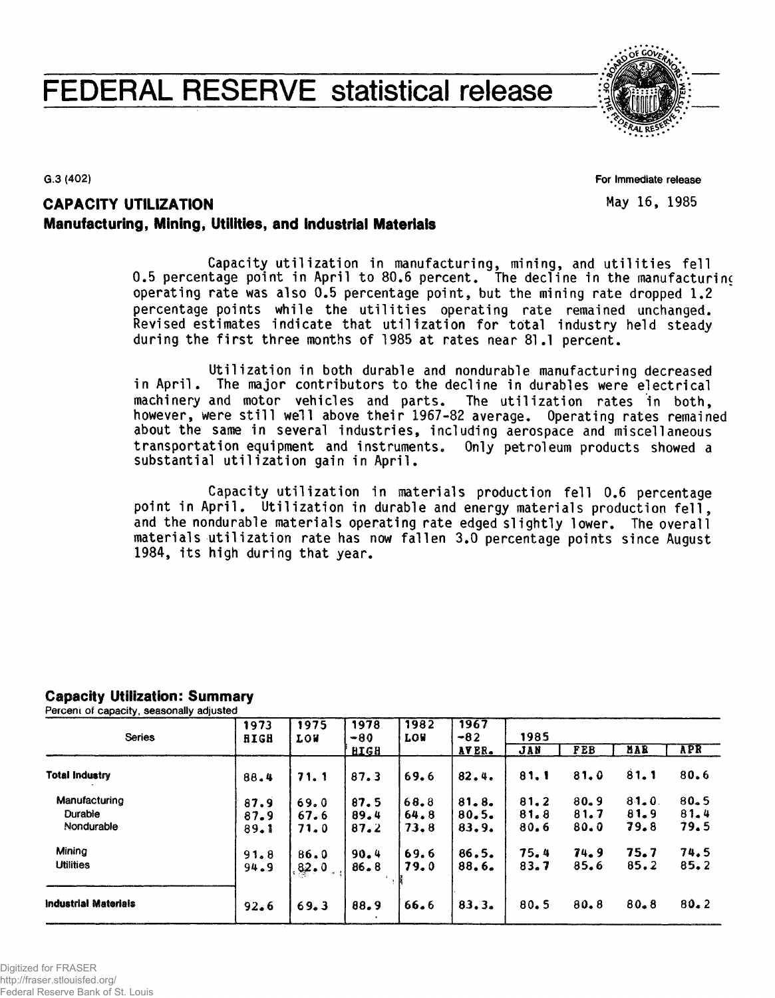# **FEDERAL RESERVE statistical release**



 $G.3(402)$ 

For Immediate release May 16, 1985

# **CAPACITY UTILIZATION** Manufacturing, Mining, Utilities, and Industrial Materials

Capacity utilization in manufacturing, mining, and utilities fell 0.5 percentage point in April to 80.6 percent. The decline in the manufacturing operating rate was also 0.5 percentage point, but the mining rate dropped 1.2 percentage points while the utilities operating rate remained unchanged. Revised estimates indicate that utilization for total industry held steady during the first three months of 1985 at rates near 81.1 percent.

Utilization in both durable and nondurable manufacturing decreased in April. The major contributors to the decline in durables were electrical machinery and motor vehicles and parts. The utilization rates in both, however, were still well above their 1967-82 average. Operating rates remained about the same in several industries, including aerospace and miscellaneous transportation equipment and instruments. Only petroleum products showed a substantial utilization gain in April.

Capacity utilization in materials production fell 0.6 percentage point in April. Utilization in durable and energy materials production fell, and the nondurable materials operating rate edged slightly lower. The overall materials utilization rate has now fallen 3.0 percentage points since August 1984, its high during that year.

# **Capacity Utilization: Summary**

Percent of capacity, seasonally adjusted

| <b>Series</b>               | 1973<br><b>RIGH</b> | 1975<br><b>LOW</b> | 1978<br>$-80$ | 1982<br><b>LOW</b> | 1967<br>$-82$ | 1985 |            |          |            |  |  |
|-----------------------------|---------------------|--------------------|---------------|--------------------|---------------|------|------------|----------|------------|--|--|
|                             |                     |                    | <b>HIGH</b>   |                    | AVER.         | JAN  | <b>FEB</b> | MAR      | <b>APR</b> |  |  |
| <b>Total Industry</b>       | 88.4                | 71.1               | 87.3          | 69.6               | 82.4.         | 81.1 | 81.0       | 81.1     | 80.6       |  |  |
| Manufacturing               | 87.9                | 69.0               | 87.5          | 68.8               | 81.8.         | 81.2 | $80 - 9$   | 81.0     | $80 - 5$   |  |  |
| Durable                     | 87.9                | 67.6               | 89.4          | 64.8               | 80.5.         | 81.8 | 81.7       | 81.9     | 81.4       |  |  |
| Nondurable                  | 89.1                | 71.0               | 87.2          | 73.8               | 83.9.         | 80.6 | 80.0       | 79.8     | 79.5       |  |  |
| Mining                      | 91.8                | 86.0               | 90.4          | 69.6               | 86.5.         | 75.4 | 74.9       | 75.7     | 74.5       |  |  |
| <b>Utilities</b>            | 94.9                | 82.0               | $86 - 8$      | 79.0               | 88.6.         | 83.7 | 85.6       | 85.2     | 85.2       |  |  |
| <b>Industrial Materials</b> | 92.6                | 69.3               | 88.9          | 66.6               | 83.3.         | 80.5 | 80.8       | $80 - 8$ | 80.2       |  |  |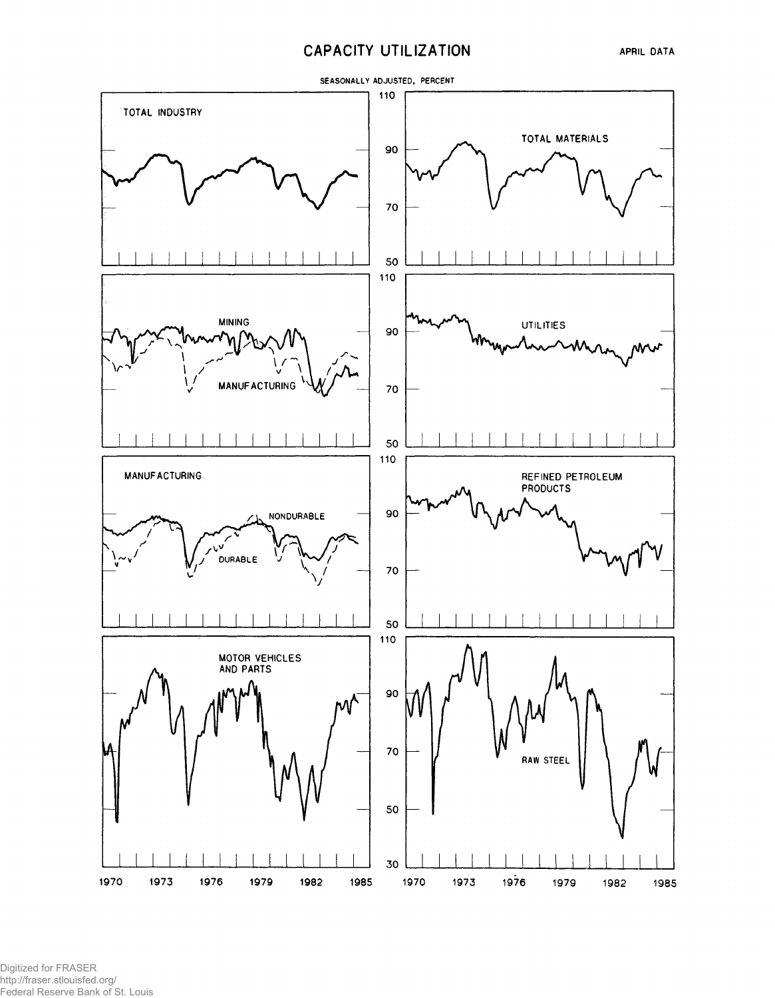## **CAPACITY UTILIZATION**



Digitized for FRASER http://fraser.stlouisfed.org/ Federal Reserve Bank of St. Louis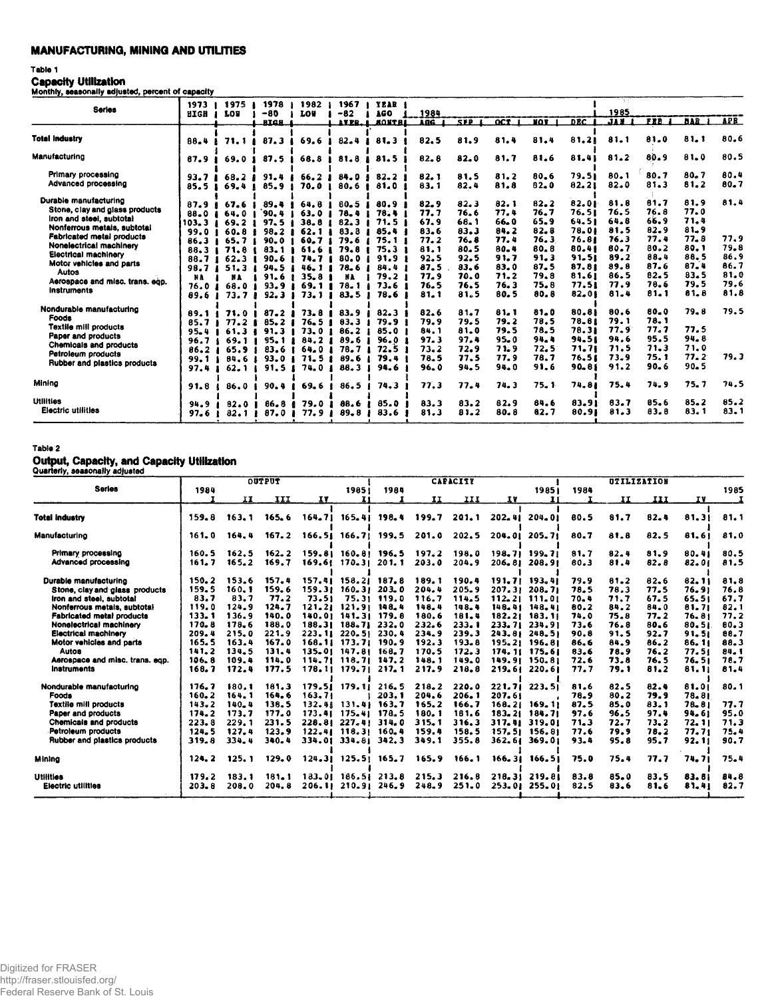## **MANUFACTURING, MINING AND UTILITIES**

## Table 1

Capacity Utilization

| MOnthly, seasonally acjusted, percent or capacity |                   |                           |                |                      |                  |                      |              |                  |                    |              |                |                          |                  |                   |                  |
|---------------------------------------------------|-------------------|---------------------------|----------------|----------------------|------------------|----------------------|--------------|------------------|--------------------|--------------|----------------|--------------------------|------------------|-------------------|------------------|
| <b>Series</b>                                     | 1973<br>HIGH      | 1975<br><b>LOB</b>        | -1978<br>$-80$ | 1982<br><b>LOW</b>   | 1967<br>$-82$    | YEAR I<br><b>AGO</b> | 1984         |                  |                    |              | <b>DEC</b>     | 1985<br>$J \overline{M}$ | FEB <sup>1</sup> | <b>BAR</b>        | <b>APR</b>       |
|                                                   |                   |                           | <b>RIGH</b>    |                      | AVER. A          | <b>BONTEL</b>        | AÑĜ 1        | SEP <sub>1</sub> | $OCT$ <sub>1</sub> | <b>NOT</b> 1 |                |                          |                  |                   |                  |
| <b>Total Industry</b>                             | 88.4              | 71.1                      | 87.3           | 69.6                 | $82 - 4$         | 81.3                 | 82.5         | 81.9             | 81.4               | 81.4         | 81.21          | 81.1                     | 81.0             | 81.1              | 80.6             |
| Manufacturing                                     | 87.9              | 69.0                      | 87.5           | 68.8                 | 81.8             | 81.5                 | 82.8         | 82.0             | 81.7               | 81.6         | 81.41          | 81.2                     | 80.9             | 81.0              | 80.5             |
| Primary processing                                | 93.7 <sub>1</sub> | 68.21                     | 91.4           | 66.2                 | 84.0             | 82.2                 | 82.1         | 81.5             | 81.2               | 80.6         | 79.51          | 80.1                     | 80.7             | 80.7              | 80.4             |
| Advanced processing                               | 85.5              | 69.4                      | 85.9           | 70.0                 | 80.6             | 81.0                 | 83.1         | 82.4             | 81.8               | $82 - 0$     | 82.21          | 82.0                     | 81.3             | 81.2              | 80.7             |
| Durable manufacturing                             |                   |                           |                |                      |                  | 80.9                 | 82.9         | 82.3             | 82.1               | 82.2         | 82.01          | 81.8                     | 81.7             | 81.9              | 81.4             |
| Stone, clay and glass products                    | 87.9<br>88.0      | 67.6<br>64.0              | 89.4<br>`90. a | 64.8<br>63.0         | $80 - 5$<br>78.4 | 78.4                 | 77.7         | 76.6             | 77.4               | 76.7         | 76.51          | 76.5                     | 76.8             | 77.0              |                  |
| iron and steel, subtotal                          | 103.3             | 69.2                      | 97.5           | 38.8                 | 82.3             | 71.5                 | 67.9         | 68.1             | 66.0               | 65.9         | 64.51          | 64.8                     | 66.9             | 71.4              |                  |
| Nonferrous metals, subtotal                       | 99.0              | 60.8                      | $98 - 2$       | 62.1                 | 83.3             | 85.4                 | 83.6         | 83.3             | 84.2               | 82.8         | 78.01          | 81.5                     | 82.9             | $81 - 9$          |                  |
| <b>Fabricated metal products</b>                  | 86.3              | 65.7                      | 90.0           | 60.7 <sub>1</sub>    | 79.6             | 75.1                 | 77.2         | 76.8             | 77.4               | 76.3         | 76.81          | 76.3                     | 77.4             | 77.8              | 77.9             |
| Nonelectrical machinery                           | 88.3              | 71.8                      | $83 - 1$       | 61.6                 | 79.8             | 75.3                 | 81.1         | 80.5             | 80.4               | 80.8         | 80.41          | 80.7                     | 80.2             | 80.1              | 79.8             |
| <b>Electrical machinery</b>                       | 88.7              | 62.3                      | $90 - 6$       | 74.7                 | 80.0             | 91.9 <sub>1</sub>    | 92.5         | 92.5             | 91.7               | 91.3         | 91.51          | 89.2                     | 88.4             | 88.5              | 86.9             |
| Motor vehicles and parts                          | 98.7              | 51.3                      | 94.5           | 46.1                 | 78.6             | 84.4                 | 87.5         | 83.6             | 83.0               | 87.5         | 87.81          | 89.8                     | 87.6             | 87.4              | 86.7             |
| Autos                                             | NA                | NA                        | 91.6           | 35.8                 | NA               | 79.2                 | 77.9         | 70.0             | 71.2               | 79.8         | 81.61          | 86.5                     | 82.5             | 83.5              | 81.0             |
| Aerospace and misc. trans. egp.                   | 76.0              | 68.0                      | 93.9           | 69.1                 | 78.1             | 73.6                 | 76.5         | 76.5             | 76.3               | 75.8         | 77.51          | 77.9                     | 78.6             | 79.5              | 79.6             |
| Instruments                                       | 89.6              | 73.7                      | 92.3           | 73.1                 | 83.5             | 78.6                 | 81.1         | 81.5             | 80.5               | 80. B        | 82.01          | 81.4                     | 81.1             | 81.8              | 81.8             |
| Nondurable manufacturing                          |                   | 71.0                      | 87.2           | 73.8                 | 83.9             | 82.3                 | 82.6         | 81.7             | 81.1               | 81.0         | 80.81          | 80.6                     | 80.0             | 79.8              | 79.5             |
| Foods                                             | 89.1<br>85.7 I    | 77.2 <sub>1</sub>         | 85.2           | 76.5                 | 83.3             | 79.9                 | 79.9         | 79.5             | 79.2               | 78.5         | 78.81          | 79. 1                    | 78.1             |                   |                  |
| Textile mill products                             | $95 - 4$          | 61.34                     | 91.3           | 73.0                 | 86.2             | 85.0                 | 84.1         | 81.0             | 79.5               | 78.5         | 78.31          | 77.9                     | 77.7             | 77.5              |                  |
| Paper and products                                | 96.7              | 69.11                     | 95.1           | 84.2                 | 89.6             | 96.0                 | 97.3         | 97.4             | $95 - 0$           | 94.4         | 94.51          | 94.6                     | 95.5             | 94.8              |                  |
| Chemicals and products                            | 86.2 <sub>1</sub> | 65.9 <sub>8</sub>         | 83.6           | 64.0                 | 78.7             | $72.5$ 1             | 73.2         | 72.9             | 71.9               | 72.5         | 71.71          | 71.5                     | 71.3             | 71.0              |                  |
| Petroleum products                                | 99.1 i            | 84.61                     | 93.0           | 71.5                 | 89.6             | 79.4                 | 78.5         | 77.5             | 77.9               | 76.7         | 76.51          | 73.9                     | 75.1             | 77.2              | 79.3             |
| Rubber and plastics products                      | 97.4              | $62 - 1$                  | 91.5<br>- 1    | 74.0                 | 88.3             | 94.6                 | 96.0         | 94.5             | 94.0               | 91.6         | 90.81          | 91.2                     | 90.6             | 90.5              |                  |
| Mining                                            | 91.8              | 86.0                      | 90.4           | 69.6                 | 86.5             | 74.3                 | 77.3         | 77.4             | 74.3               | 75.1         | 74.81          | 75.4                     | 74.9             | 75.7              | 74.5             |
| <b>Utilities</b>                                  |                   |                           |                |                      |                  |                      |              |                  |                    |              |                |                          |                  |                   |                  |
| Electric utilities                                | 94.9<br>97.6      | 82.0<br>82.1 <sub>1</sub> | 86.8<br>87.0   | 79.0<br>- 1<br>77.91 | 88.6<br>89.8     | 85.0<br>83.6         | 83.3<br>81.3 | 83.2<br>81.2     | 82.9<br>80.8       | 84.6<br>82.7 | 83.91<br>80.91 | 83.7<br>81.3             | 85.6<br>83.8     | $85 - 2$<br>8.3.1 | 85.2<br>$83 - 1$ |

## Table 2

Output, Capacity, and Capacity Utilization

| awai wity, oosoonany aujuotou   |           |       | OUTPUT |        |                           |                           |       | <b>CAPACITY</b> |        |                   |      | UTILIZATION |          |        |      |
|---------------------------------|-----------|-------|--------|--------|---------------------------|---------------------------|-------|-----------------|--------|-------------------|------|-------------|----------|--------|------|
| <b>Series</b>                   | 1984      | 11    | III    | IV.    | 19851<br>T I              | 1984                      | 11    | 111             | IΥ     | 19851<br>Ĩ۱       | 1984 | 11          | III      | TV     | 1985 |
|                                 |           |       |        |        |                           |                           |       |                 |        |                   |      |             |          |        |      |
| <b>Total Industry</b>           | 159.8     | 163.1 | 165.6  |        | $164.71$ $165.41$         | 198.4                     | 199.7 | 201.1           |        | 202.41 204.01     | 80.5 | 81.7        | 82.4     | 81, 31 | 81.1 |
| Manufacturino                   | 161.0     | 164.4 | 167, 2 |        |                           | $166.51$ $166.71$ $199.5$ | 201.0 | 202.5           |        | 204.01 205.71     | 80.7 | 81.8        | 82.5     | 81.61  | 81.0 |
| Primary processing              | 160.5     | 162.5 | 162.2  |        | 159.81 160.81 196.5       |                           | 197.2 | 198.0           |        | 198.71 199.71     | 81.7 | 82.4        | 81.9     | 80.41  | 80.5 |
| <b>Advanced processing</b>      | 161.7     | 165.2 | 169.7  |        | 169.61 170.31             | 201.1                     | 203.0 | 204.9           |        | 206.81 208.91     | 80.3 | 81.4        | 82.8     | 82.01  | 81.5 |
| Durable manufacturing           | 150.2     | 153.6 | 157.4  |        | 157.41 158.21 187.8       |                           | 189.1 | 190.4           |        | 191.71 193.41     | 79.9 | 81.2        | 82.6     | 82.11  | 81.8 |
| Stone, clay and glass products  | 159.5     | 160.1 | 159.6  |        | 159.31 160.31 203.0       |                           | 204.4 | $205 - 9$       | 207.31 | 208.71            | 78.5 | 78.3        | 77.5     | 76.91  | 76.8 |
| fron and steel, subtotal        | 83.7      | 83.7  | 77.2   | 73.51  |                           | 75.31 119.0               | 116.7 | 114.5           |        | 112.21 111.01     | 70.4 | 71.7        | 67.5     | 65.51  | 67.7 |
| Nonferrous metals, subtotal     | 119.0     | 124.9 | 124.7  |        | 121.21 121.91 148.4       |                           | 148.4 | 148.4           |        | 148.41 148.41     | 80.2 | 84.2        | 84.0     | 81.71  | 82.1 |
| Fabricated metal products       | 133.1     | 136.9 | 140.0  |        | 140.01 141.31 179.8       |                           | 180.6 | 181.4           |        | $182.2$   $183.1$ | 74.0 | 75.8        | 77.2     | 76.81  | 77.2 |
| <b>Nonelectrical machinery</b>  | 170.8     | 178.6 | 188.0  |        | 188.31 188.71 232.0       |                           | 232.6 | 233.1           |        | $233.71$ $234.91$ | 73.6 | 76.8        | 80.6     | 80.51  | 80.3 |
| <b>Electrical machinery</b>     | 209.4     | 215.0 | 221.9  |        | 223.11 220.51 230.4       |                           | 234.9 | 239.3           |        | 243.81 248.51     | 90.8 | 91.5        | 92.7     | 91.51  | 88.7 |
| Motor vehicles and parts        | 165.5     | 163.4 | 167.0  |        | 168.11 173.71 190.9       |                           | 192.3 | 193.8           |        | 195.21 196.81     | 86.6 | 84.9        | 86.2     | 86.11  | 88.3 |
| <b>Autos</b>                    | 141.2     | 134.5 | 131.4  |        | 135.01 147.81 168.7       |                           | 170.5 | 172.3           |        | 174.11 175.61     | 83.6 | 78.9        | 76.2     | 77.51  | 84.1 |
| Aerospace and misc. trans. egp. | 106.8     | 109.4 | 114.0  |        | $114.71$ $118.71$ $147.2$ |                           | 148.1 | 149.0           |        | 149.91 150.81     | 72.6 | 73.8        | 76.5     | 76.51  | 78.7 |
| Instruments                     | 168.7     | 172.4 | 177.5  |        | $178.11$ $179.71$ $217.1$ |                           | 217.9 | 218.8           | 219.61 | 220.61            | 77.7 | 79. 1       | 81.2     | 81.11  | 81.4 |
| Nondurable manufacturing        | 176.7     | 180.1 | 181.3  |        | 179.51 179.11 216.5       |                           | 218.2 | 220.0           | 221.71 | 223.51            | 81.6 | 82.5        | 82.4     | 81.01  | 80.1 |
| Foods                           | 160.2     | 164.1 | 164.6  | 163.71 |                           | 203.1                     | 204.6 | 206.1           | 207.61 |                   | 78.9 | 80.2        | 79.9     | 78.81  |      |
| Textile mill products           | $143 - 2$ | 140.4 | 138.5  |        | 132.41 131.41 163.7       |                           | 165.2 | 166.7           |        | 168.21 169.11     | 87.5 | 85.0        | $83 - 1$ | 78.81  | 77.7 |
| Paper and products              | 174.2     | 173.7 | 177.0  |        | $173.41$ $175.41$ $178.5$ |                           | 180.1 | 181.6           |        | $183.21$ $184.71$ | 97.6 | 96.5        | 97.4     | 94.61  | 95.0 |
| Chemicals and products          | 223.8     | 229.1 | 231.5  |        | 228.81227.41314.0         |                           | 315.1 | 316.3           |        | 317.41 319.01     | 71.3 | 72.7        | 73.2     | 72. 11 | 71.3 |
| Petroleum products              | 124.5     | 127.4 | 123.9  |        | $122.41$ $118.31$ $160.4$ |                           | 159.4 | 158.5           |        | 157.51 156.81     | 77.6 | 79.9        | 78.2     | 77.71  | 75.4 |
| Rubber and plastics products    | 319.8     | 334.4 | 340.4  |        | 334.01 334.81 342.3       |                           | 349.1 | 355.8           | 362.61 | 369.01            | 93.4 | 95.8        | 95.7     | 92.11  | 90.7 |
| Minina                          | 124.2     | 125.1 | 129.0  |        |                           | $124.31$ $125.51$ $165.7$ | 165.9 | 166.1           |        | $166.31$ $166.51$ | 75.0 | 75.4        | 77.7     | 74.71  | 75.4 |
| Utilities                       | 179.2     | 183.1 | 181.1  |        | $183.01$ $186.51$ $213.8$ |                           | 215.3 | 216.8           |        | 218.31 219.81     | 83.8 | 85.0        | 83.5     | 83.81  | 84.8 |
| Electric utilities              | $203 - 8$ | 208.0 | 204.8  | 206.11 | 210.91                    | 246.9                     | 248.9 | 251.0           | 253.01 | $255 - 01$        | 82.5 | 83.6        | 81.6     | 81.41  | 82.7 |